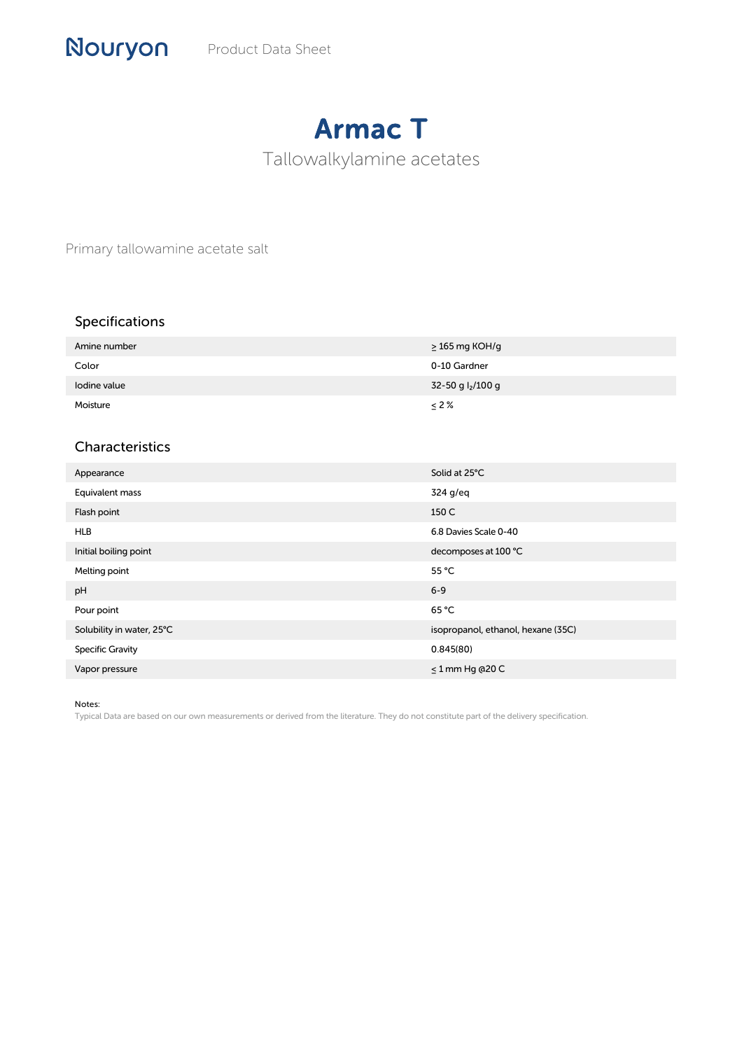## Armac T

Tallowalkylamine acetates

Primary tallowamine acetate salt

## Specifications

| Amine number | $\geq$ 165 mg KOH/g           |
|--------------|-------------------------------|
| Color        | 0-10 Gardner                  |
| lodine value | 32-50 g l <sub>2</sub> /100 g |
| Moisture     | $\leq$ 2%                     |

## Characteristics

| Appearance                | Solid at 25°C                      |
|---------------------------|------------------------------------|
| Equivalent mass           | 324 g/eg                           |
| Flash point               | 150 C                              |
| <b>HLB</b>                | 6.8 Davies Scale 0-40              |
| Initial boiling point     | decomposes at 100 °C               |
| Melting point             | 55 °C                              |
| pH                        | $6 - 9$                            |
| Pour point                | 65 °C                              |
| Solubility in water, 25°C | isopropanol, ethanol, hexane (35C) |
| <b>Specific Gravity</b>   | 0.845(80)                          |
| Vapor pressure            | $\leq$ 1 mm Hg @20 C               |

Notes:

Typical Data are based on our own measurements or derived from the literature. They do not constitute part of the delivery specification.